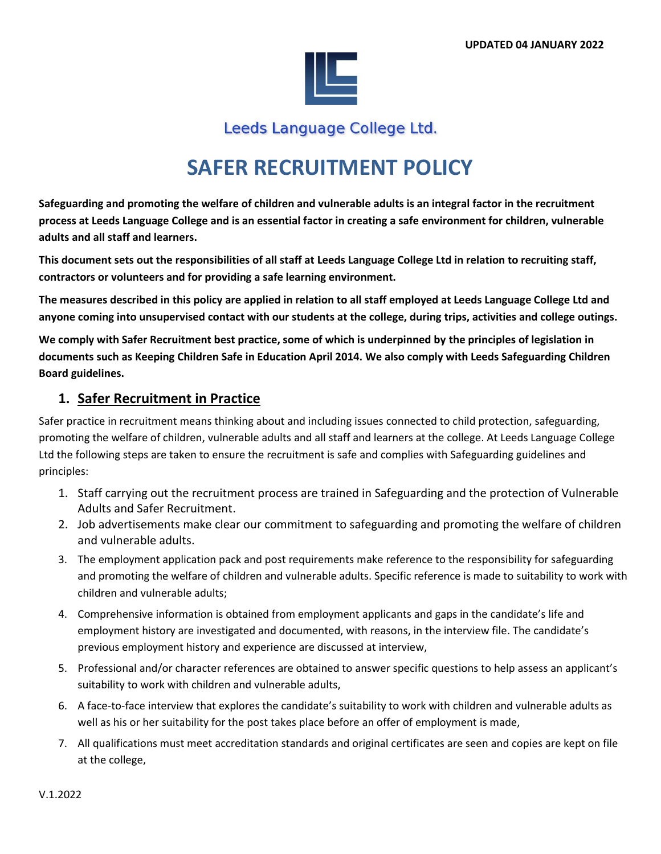

Leeds Language College Ltd.

# **SAFER RECRUITMENT POLICY**

**Safeguarding and promoting the welfare of children and vulnerable adults is an integral factor in the recruitment process at Leeds Language College and is an essential factor in creating a safe environment for children, vulnerable adults and all staff and learners.** 

**This document sets out the responsibilities of all staff at Leeds Language College Ltd in relation to recruiting staff, contractors or volunteers and for providing a safe learning environment.** 

**The measures described in this policy are applied in relation to all staff employed at Leeds Language College Ltd and anyone coming into unsupervised contact with our students at the college, during trips, activities and college outings.**

**We comply with Safer Recruitment best practice, some of which is underpinned by the principles of legislation in documents such as Keeping Children Safe in Education April 2014. We also comply with Leeds Safeguarding Children Board guidelines.**

## **1. Safer Recruitment in Practice**

Safer practice in recruitment means thinking about and including issues connected to child protection, safeguarding, promoting the welfare of children, vulnerable adults and all staff and learners at the college. At Leeds Language College Ltd the following steps are taken to ensure the recruitment is safe and complies with Safeguarding guidelines and principles:

- 1. Staff carrying out the recruitment process are trained in Safeguarding and the protection of Vulnerable Adults and Safer Recruitment.
- 2. Job advertisements make clear our commitment to safeguarding and promoting the welfare of children and vulnerable adults.
- 3. The employment application pack and post requirements make reference to the responsibility for safeguarding and promoting the welfare of children and vulnerable adults. Specific reference is made to suitability to work with children and vulnerable adults;
- 4. Comprehensive information is obtained from employment applicants and gaps in the candidate's life and employment history are investigated and documented, with reasons, in the interview file. The candidate's previous employment history and experience are discussed at interview,
- 5. Professional and/or character references are obtained to answer specific questions to help assess an applicant's suitability to work with children and vulnerable adults,
- 6. A face-to-face interview that explores the candidate's suitability to work with children and vulnerable adults as well as his or her suitability for the post takes place before an offer of employment is made,
- 7. All qualifications must meet accreditation standards and original certificates are seen and copies are kept on file at the college,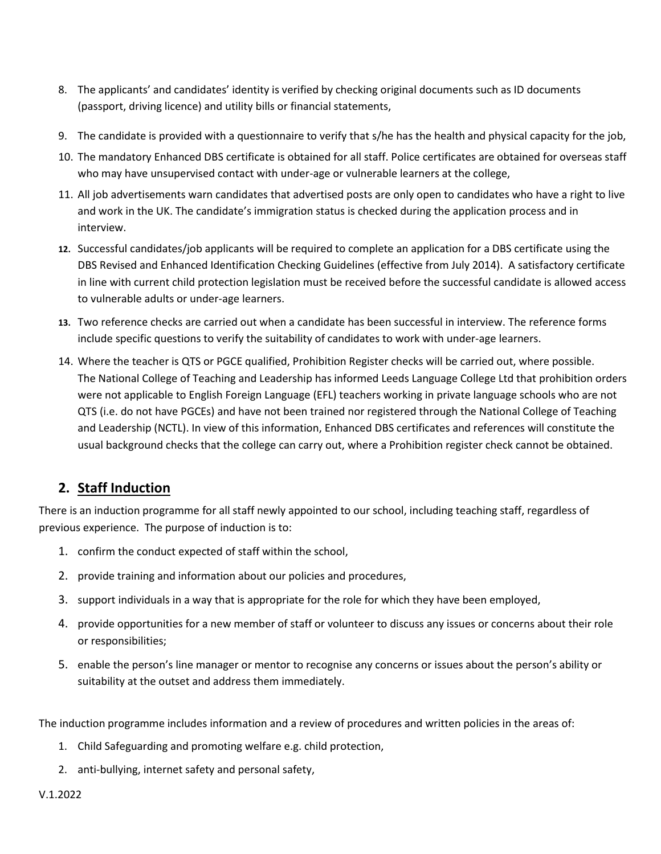- 8. The applicants' and candidates' identity is verified by checking original documents such as ID documents (passport, driving licence) and utility bills or financial statements,
- 9. The candidate is provided with a questionnaire to verify that s/he has the health and physical capacity for the job,
- 10. The mandatory Enhanced DBS certificate is obtained for all staff. Police certificates are obtained for overseas staff who may have unsupervised contact with under-age or vulnerable learners at the college,
- 11. All job advertisements warn candidates that advertised posts are only open to candidates who have a right to live and work in the UK. The candidate's immigration status is checked during the application process and in interview.
- **12.** Successful candidates/job applicants will be required to complete an application for a DBS certificate using the DBS Revised and Enhanced Identification Checking Guidelines (effective from July 2014). A satisfactory certificate in line with current child protection legislation must be received before the successful candidate is allowed access to vulnerable adults or under-age learners.
- **13.** Two reference checks are carried out when a candidate has been successful in interview. The reference forms include specific questions to verify the suitability of candidates to work with under-age learners.
- 14. Where the teacher is QTS or PGCE qualified, Prohibition Register checks will be carried out, where possible. The National College of Teaching and Leadership has informed Leeds Language College Ltd that prohibition orders were not applicable to English Foreign Language (EFL) teachers working in private language schools who are not QTS (i.e. do not have PGCEs) and have not been trained nor registered through the National College of Teaching and Leadership (NCTL). In view of this information, Enhanced DBS certificates and references will constitute the usual background checks that the college can carry out, where a Prohibition register check cannot be obtained.

## **2. Staff Induction**

There is an induction programme for all staff newly appointed to our school, including teaching staff, regardless of previous experience. The purpose of induction is to:

- 1. confirm the conduct expected of staff within the school,
- 2. provide training and information about our policies and procedures,
- 3. support individuals in a way that is appropriate for the role for which they have been employed,
- 4. provide opportunities for a new member of staff or volunteer to discuss any issues or concerns about their role or responsibilities;
- 5. enable the person's line manager or mentor to recognise any concerns or issues about the person's ability or suitability at the outset and address them immediately.

The induction programme includes information and a review of procedures and written policies in the areas of:

- 1. Child Safeguarding and promoting welfare e.g. child protection,
- 2. anti-bullying, internet safety and personal safety,